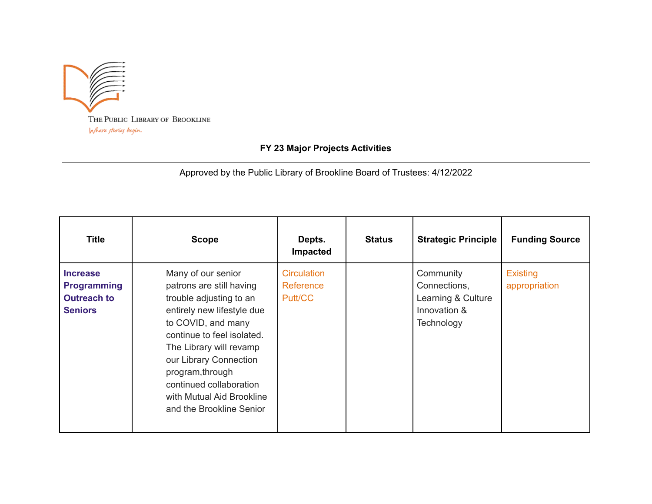

## **FY 23 Major Projects Activities**

Approved by the Public Library of Brookline Board of Trustees: 4/12/2022

| <b>Title</b>                                                                  | <b>Scope</b>                                                                                                                                                                                                                                                                                                             | Depts.<br>Impacted                         | <b>Status</b> | <b>Strategic Principle</b>                                                    | <b>Funding Source</b>            |
|-------------------------------------------------------------------------------|--------------------------------------------------------------------------------------------------------------------------------------------------------------------------------------------------------------------------------------------------------------------------------------------------------------------------|--------------------------------------------|---------------|-------------------------------------------------------------------------------|----------------------------------|
| <b>Increase</b><br><b>Programming</b><br><b>Outreach to</b><br><b>Seniors</b> | Many of our senior<br>patrons are still having<br>trouble adjusting to an<br>entirely new lifestyle due<br>to COVID, and many<br>continue to feel isolated.<br>The Library will revamp<br>our Library Connection<br>program, through<br>continued collaboration<br>with Mutual Aid Brookline<br>and the Brookline Senior | <b>Circulation</b><br>Reference<br>Putt/CC |               | Community<br>Connections,<br>Learning & Culture<br>Innovation &<br>Technology | <b>Existing</b><br>appropriation |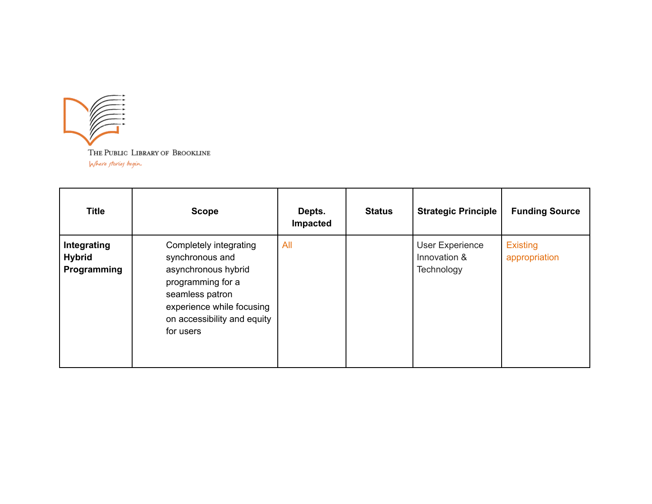

| <b>Title</b>                                | <b>Scope</b>                                                                                                                                                                      | Depts.<br>Impacted | <b>Status</b> | <b>Strategic Principle</b>                           | <b>Funding Source</b>            |
|---------------------------------------------|-----------------------------------------------------------------------------------------------------------------------------------------------------------------------------------|--------------------|---------------|------------------------------------------------------|----------------------------------|
| Integrating<br><b>Hybrid</b><br>Programming | Completely integrating<br>synchronous and<br>asynchronous hybrid<br>programming for a<br>seamless patron<br>experience while focusing<br>on accessibility and equity<br>for users | <b>All</b>         |               | <b>User Experience</b><br>Innovation &<br>Technology | <b>Existing</b><br>appropriation |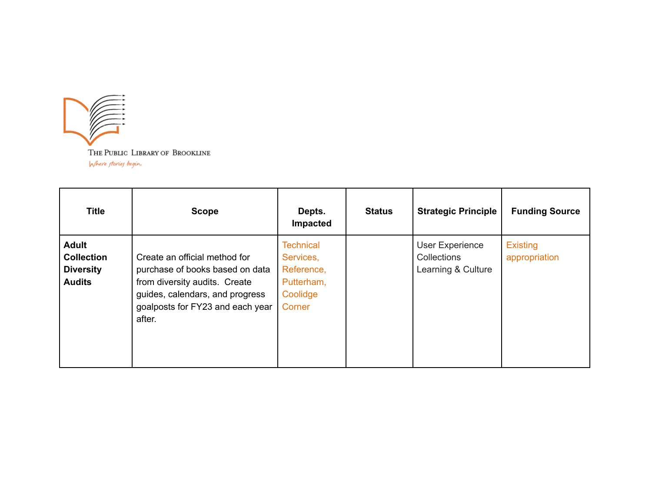

| <b>Title</b>                                                           | <b>Scope</b>                                                                                                                                                                       | Depts.<br>Impacted                                                              | <b>Status</b> | <b>Strategic Principle</b>                           | <b>Funding Source</b>     |
|------------------------------------------------------------------------|------------------------------------------------------------------------------------------------------------------------------------------------------------------------------------|---------------------------------------------------------------------------------|---------------|------------------------------------------------------|---------------------------|
| <b>Adult</b><br><b>Collection</b><br><b>Diversity</b><br><b>Audits</b> | Create an official method for<br>purchase of books based on data<br>from diversity audits. Create<br>guides, calendars, and progress<br>goalposts for FY23 and each year<br>after. | <b>Technical</b><br>Services,<br>Reference,<br>Putterham,<br>Coolidge<br>Corner |               | User Experience<br>Collections<br>Learning & Culture | Existing<br>appropriation |